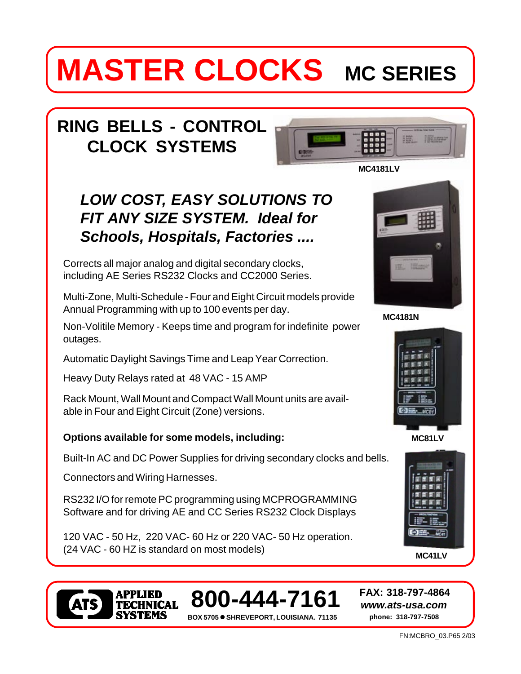# **MASTER CLOCKS** MC SERIES

# **RING BELLS - CONTROL CLOCK SYSTEMS**



## *LOW COST, EASY SOLUTIONS TO FIT ANY SIZE SYSTEM. Ideal for Schools, Hospitals, Factories ....*

Corrects all major analog and digital secondary clocks, including AE Series RS232 Clocks and CC2000 Series.

Multi-Zone, Multi-Schedule - Four and Eight Circuit models provide Annual Programming with up to 100 events per day.

Non-Volitile Memory - Keeps time and program for indefinite power outages.

Automatic Daylight Savings Time and Leap Year Correction.

Heavy Duty Relays rated at 48 VAC - 15 AMP

Rack Mount, Wall Mount and Compact Wall Mount units are available in Four and Eight Circuit (Zone) versions.

### **Options available for some models, including:**

Built-In AC and DC Power Supplies for driving secondary clocks and bells.

Connectors and Wiring Harnesses.

RS232 I/O for remote PC programming using MCPROGRAMMING Software and for driving AE and CC Series RS232 Clock Displays

120 VAC - 50 Hz, 220 VAC- 60 Hz or 220 VAC- 50 Hz operation. (24 VAC - 60 HZ is standard on most models)











**800-444-7161**

**BOX 5705** ! **SHREVEPORT, LOUISIANA. 71135 phone: 318-797-7508**

*www.ats-usa.com*

**FAX: 318-797-4864**